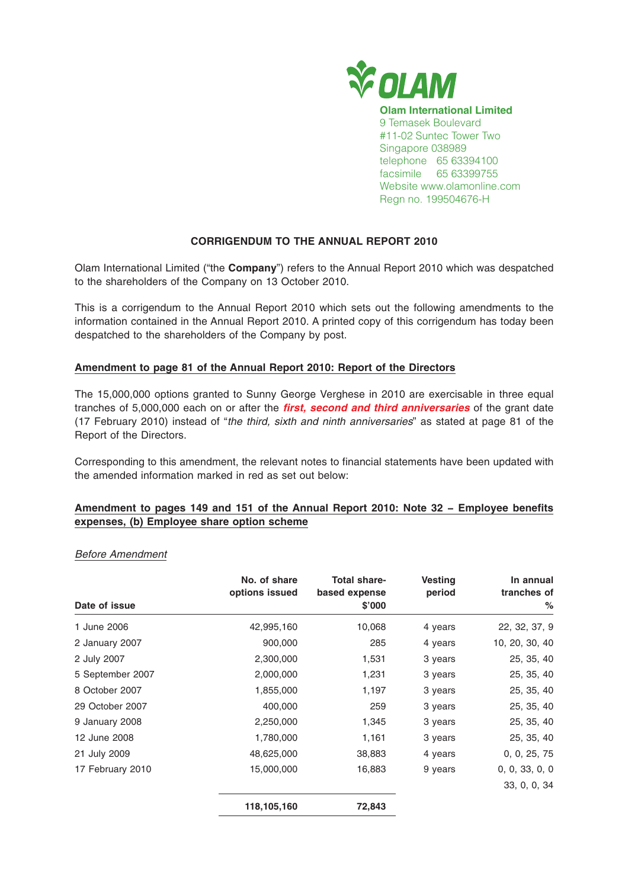

# **CORRIGENDUM TO THE ANNUAL REPORT 2010**

Olam International Limited ("the **Company**") refers to the Annual Report 2010 which was despatched to the shareholders of the Company on 13 October 2010.

This is a corrigendum to the Annual Report 2010 which sets out the following amendments to the information contained in the Annual Report 2010. A printed copy of this corrigendum has today been despatched to the shareholders of the Company by post.

## **Amendment to page 81 of the Annual Report 2010: Report of the Directors**

The 15,000,000 options granted to Sunny George Verghese in 2010 are exercisable in three equal tranches of 5,000,000 each on or after the **first, second and third anniversaries** of the grant date (17 February 2010) instead of "the third, sixth and ninth anniversaries" as stated at page 81 of the Report of the Directors.

Corresponding to this amendment, the relevant notes to financial statements have been updated with the amended information marked in red as set out below:

## **Amendment to pages 149 and 151 of the Annual Report 2010: Note 32 − Employee benefits expenses, (b) Employee share option scheme**

#### Before Amendment

|                  | No. of share<br>options issued | <b>Total share-</b><br>based expense | <b>Vesting</b><br>period | In annual<br>tranches of |
|------------------|--------------------------------|--------------------------------------|--------------------------|--------------------------|
| Date of issue    |                                | \$'000                               |                          | $\%$                     |
| 1 June 2006      | 42,995,160                     | 10,068                               | 4 years                  | 22, 32, 37, 9            |
| 2 January 2007   | 900,000                        | 285                                  | 4 years                  | 10, 20, 30, 40           |
| 2 July 2007      | 2,300,000                      | 1,531                                | 3 years                  | 25, 35, 40               |
| 5 September 2007 | 2,000,000                      | 1,231                                | 3 years                  | 25, 35, 40               |
| 8 October 2007   | 1,855,000                      | 1,197                                | 3 years                  | 25, 35, 40               |
| 29 October 2007  | 400,000                        | 259                                  | 3 years                  | 25, 35, 40               |
| 9 January 2008   | 2,250,000                      | 1,345                                | 3 years                  | 25, 35, 40               |
| 12 June 2008     | 1,780,000                      | 1,161                                | 3 years                  | 25, 35, 40               |
| 21 July 2009     | 48,625,000                     | 38,883                               | 4 years                  | 0, 0, 25, 75             |
| 17 February 2010 | 15,000,000                     | 16,883                               | 9 years                  | 0, 0, 33, 0, 0           |
|                  |                                |                                      |                          | 33, 0, 0, 34             |
|                  | 118,105,160                    | 72,843                               |                          |                          |